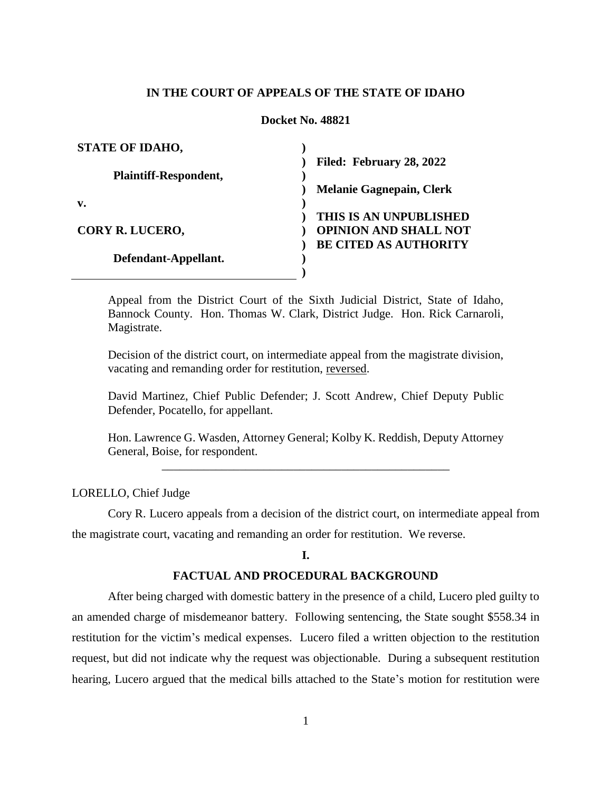## **IN THE COURT OF APPEALS OF THE STATE OF IDAHO**

### **Docket No. 48821**

| <b>STATE OF IDAHO,</b>       |                                 |
|------------------------------|---------------------------------|
|                              | Filed: February 28, 2022        |
| <b>Plaintiff-Respondent,</b> |                                 |
|                              | <b>Melanie Gagnepain, Clerk</b> |
| $\mathbf{v}$ .               |                                 |
|                              | THIS IS AN UNPUBLISHED          |
| <b>CORY R. LUCERO,</b>       | <b>OPINION AND SHALL NOT</b>    |
|                              | <b>BE CITED AS AUTHORITY</b>    |
| Defendant-Appellant.         |                                 |
|                              |                                 |

Appeal from the District Court of the Sixth Judicial District, State of Idaho, Bannock County. Hon. Thomas W. Clark, District Judge. Hon. Rick Carnaroli, Magistrate.

Decision of the district court, on intermediate appeal from the magistrate division, vacating and remanding order for restitution, reversed.

David Martinez, Chief Public Defender; J. Scott Andrew, Chief Deputy Public Defender, Pocatello, for appellant.

Hon. Lawrence G. Wasden, Attorney General; Kolby K. Reddish, Deputy Attorney General, Boise, for respondent. \_\_\_\_\_\_\_\_\_\_\_\_\_\_\_\_\_\_\_\_\_\_\_\_\_\_\_\_\_\_\_\_\_\_\_\_\_\_\_\_\_\_\_\_\_\_\_\_

LORELLO, Chief Judge

Cory R. Lucero appeals from a decision of the district court, on intermediate appeal from the magistrate court, vacating and remanding an order for restitution. We reverse.

# **I.**

## **FACTUAL AND PROCEDURAL BACKGROUND**

After being charged with domestic battery in the presence of a child, Lucero pled guilty to an amended charge of misdemeanor battery. Following sentencing, the State sought \$558.34 in restitution for the victim's medical expenses. Lucero filed a written objection to the restitution request, but did not indicate why the request was objectionable. During a subsequent restitution hearing, Lucero argued that the medical bills attached to the State's motion for restitution were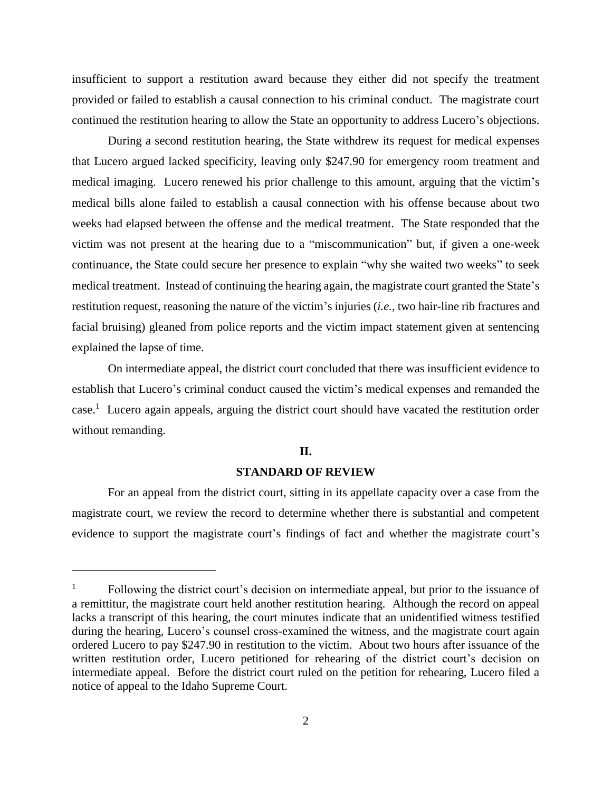insufficient to support a restitution award because they either did not specify the treatment provided or failed to establish a causal connection to his criminal conduct. The magistrate court continued the restitution hearing to allow the State an opportunity to address Lucero's objections.

During a second restitution hearing, the State withdrew its request for medical expenses that Lucero argued lacked specificity, leaving only \$247.90 for emergency room treatment and medical imaging. Lucero renewed his prior challenge to this amount, arguing that the victim's medical bills alone failed to establish a causal connection with his offense because about two weeks had elapsed between the offense and the medical treatment. The State responded that the victim was not present at the hearing due to a "miscommunication" but, if given a one-week continuance, the State could secure her presence to explain "why she waited two weeks" to seek medical treatment. Instead of continuing the hearing again, the magistrate court granted the State's restitution request, reasoning the nature of the victim's injuries (*i.e.*, two hair-line rib fractures and facial bruising) gleaned from police reports and the victim impact statement given at sentencing explained the lapse of time.

On intermediate appeal, the district court concluded that there was insufficient evidence to establish that Lucero's criminal conduct caused the victim's medical expenses and remanded the case.<sup>1</sup> Lucero again appeals, arguing the district court should have vacated the restitution order without remanding.

### **II.**

## **STANDARD OF REVIEW**

For an appeal from the district court, sitting in its appellate capacity over a case from the magistrate court, we review the record to determine whether there is substantial and competent evidence to support the magistrate court's findings of fact and whether the magistrate court's

 $\overline{a}$ 

<sup>&</sup>lt;sup>1</sup> Following the district court's decision on intermediate appeal, but prior to the issuance of a remittitur, the magistrate court held another restitution hearing. Although the record on appeal lacks a transcript of this hearing, the court minutes indicate that an unidentified witness testified during the hearing, Lucero's counsel cross-examined the witness, and the magistrate court again ordered Lucero to pay \$247.90 in restitution to the victim. About two hours after issuance of the written restitution order, Lucero petitioned for rehearing of the district court's decision on intermediate appeal. Before the district court ruled on the petition for rehearing, Lucero filed a notice of appeal to the Idaho Supreme Court.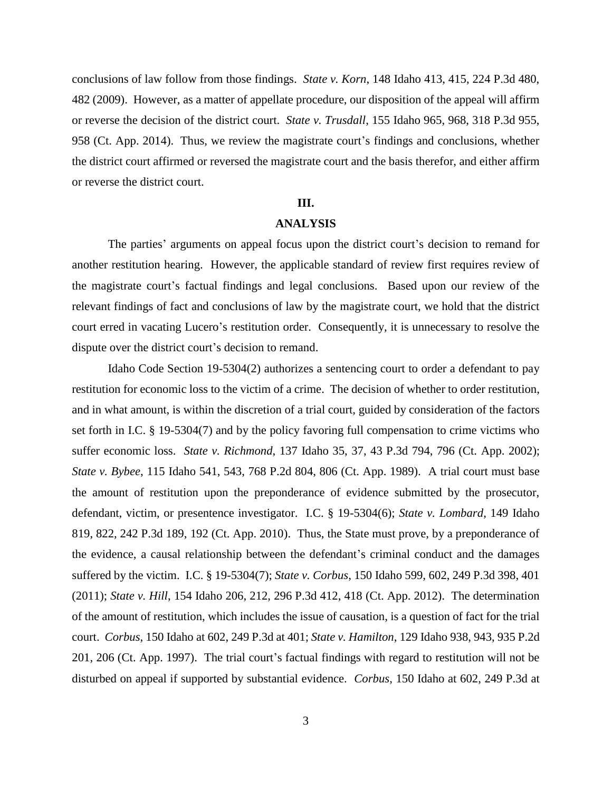conclusions of law follow from those findings. *State v. Korn*, 148 Idaho 413, 415, 224 P.3d 480, 482 (2009). However, as a matter of appellate procedure, our disposition of the appeal will affirm or reverse the decision of the district court. *State v. Trusdall*, 155 Idaho 965, 968, 318 P.3d 955, 958 (Ct. App. 2014). Thus, we review the magistrate court's findings and conclusions, whether the district court affirmed or reversed the magistrate court and the basis therefor, and either affirm or reverse the district court.

## **III.**

#### **ANALYSIS**

The parties' arguments on appeal focus upon the district court's decision to remand for another restitution hearing. However, the applicable standard of review first requires review of the magistrate court's factual findings and legal conclusions. Based upon our review of the relevant findings of fact and conclusions of law by the magistrate court, we hold that the district court erred in vacating Lucero's restitution order. Consequently, it is unnecessary to resolve the dispute over the district court's decision to remand.

Idaho Code Section 19-5304(2) authorizes a sentencing court to order a defendant to pay restitution for economic loss to the victim of a crime. The decision of whether to order restitution, and in what amount, is within the discretion of a trial court, guided by consideration of the factors set forth in I.C. § 19-5304(7) and by the policy favoring full compensation to crime victims who suffer economic loss. *State v. Richmond*, 137 Idaho 35, 37, 43 P.3d 794, 796 (Ct. App. 2002); *State v. Bybee*, 115 Idaho 541, 543, 768 P.2d 804, 806 (Ct. App. 1989). A trial court must base the amount of restitution upon the preponderance of evidence submitted by the prosecutor, defendant, victim, or presentence investigator. I.C. § 19-5304(6); *State v. Lombard*, 149 Idaho 819, 822, 242 P.3d 189, 192 (Ct. App. 2010). Thus, the State must prove, by a preponderance of the evidence, a causal relationship between the defendant's criminal conduct and the damages suffered by the victim. I.C. § 19-5304(7); *State v. Corbus*, 150 Idaho 599, 602, 249 P.3d 398, 401 (2011); *State v. Hill*, 154 Idaho 206, 212, 296 P.3d 412, 418 (Ct. App. 2012). The determination of the amount of restitution, which includes the issue of causation, is a question of fact for the trial court. *Corbus*, 150 Idaho at 602, 249 P.3d at 401; *State v. Hamilton*, 129 Idaho 938, 943, 935 P.2d 201, 206 (Ct. App. 1997). The trial court's factual findings with regard to restitution will not be disturbed on appeal if supported by substantial evidence. *Corbus*, 150 Idaho at 602, 249 P.3d at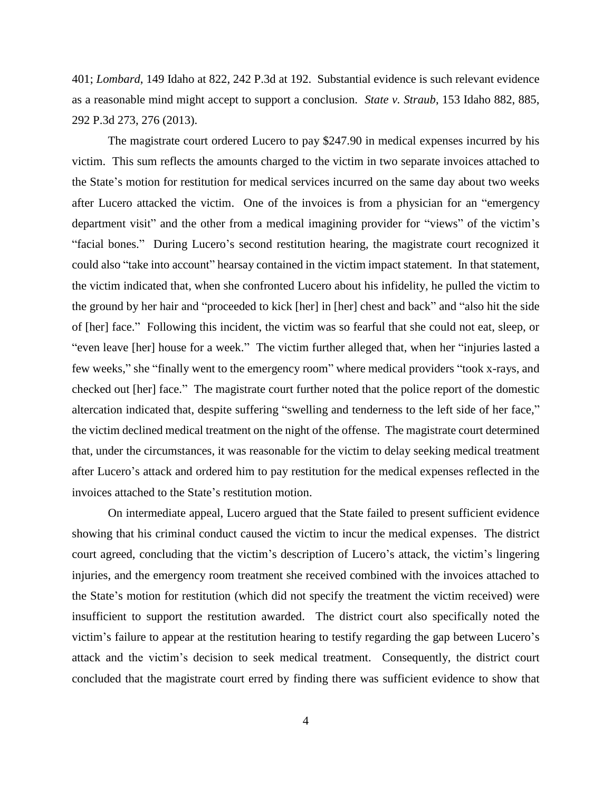401; *Lombard*, 149 Idaho at 822, 242 P.3d at 192. Substantial evidence is such relevant evidence as a reasonable mind might accept to support a conclusion. *State v. Straub*, 153 Idaho 882, 885, 292 P.3d 273, 276 (2013).

The magistrate court ordered Lucero to pay \$247.90 in medical expenses incurred by his victim. This sum reflects the amounts charged to the victim in two separate invoices attached to the State's motion for restitution for medical services incurred on the same day about two weeks after Lucero attacked the victim. One of the invoices is from a physician for an "emergency department visit" and the other from a medical imagining provider for "views" of the victim's "facial bones." During Lucero's second restitution hearing, the magistrate court recognized it could also "take into account" hearsay contained in the victim impact statement. In that statement, the victim indicated that, when she confronted Lucero about his infidelity, he pulled the victim to the ground by her hair and "proceeded to kick [her] in [her] chest and back" and "also hit the side of [her] face." Following this incident, the victim was so fearful that she could not eat, sleep, or "even leave [her] house for a week." The victim further alleged that, when her "injuries lasted a few weeks," she "finally went to the emergency room" where medical providers "took x-rays, and checked out [her] face." The magistrate court further noted that the police report of the domestic altercation indicated that, despite suffering "swelling and tenderness to the left side of her face," the victim declined medical treatment on the night of the offense. The magistrate court determined that, under the circumstances, it was reasonable for the victim to delay seeking medical treatment after Lucero's attack and ordered him to pay restitution for the medical expenses reflected in the invoices attached to the State's restitution motion.

On intermediate appeal, Lucero argued that the State failed to present sufficient evidence showing that his criminal conduct caused the victim to incur the medical expenses. The district court agreed, concluding that the victim's description of Lucero's attack, the victim's lingering injuries, and the emergency room treatment she received combined with the invoices attached to the State's motion for restitution (which did not specify the treatment the victim received) were insufficient to support the restitution awarded. The district court also specifically noted the victim's failure to appear at the restitution hearing to testify regarding the gap between Lucero's attack and the victim's decision to seek medical treatment. Consequently, the district court concluded that the magistrate court erred by finding there was sufficient evidence to show that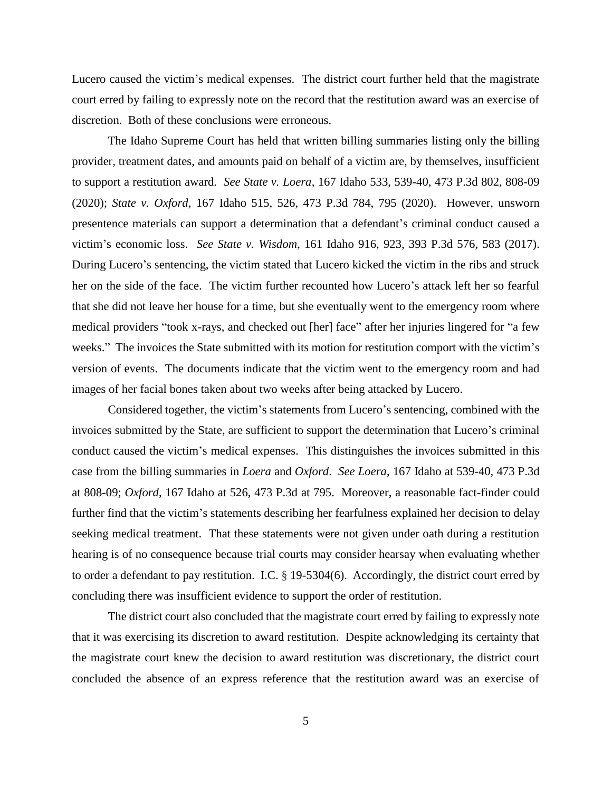Lucero caused the victim's medical expenses. The district court further held that the magistrate court erred by failing to expressly note on the record that the restitution award was an exercise of discretion. Both of these conclusions were erroneous.

The Idaho Supreme Court has held that written billing summaries listing only the billing provider, treatment dates, and amounts paid on behalf of a victim are, by themselves, insufficient to support a restitution award. *See State v. Loera*, 167 Idaho 533, 539-40, 473 P.3d 802, 808-09 (2020); *State v. Oxford*, 167 Idaho 515, 526, 473 P.3d 784, 795 (2020). However, unsworn presentence materials can support a determination that a defendant's criminal conduct caused a victim's economic loss. *See State v. Wisdom*, 161 Idaho 916, 923, 393 P.3d 576, 583 (2017). During Lucero's sentencing, the victim stated that Lucero kicked the victim in the ribs and struck her on the side of the face. The victim further recounted how Lucero's attack left her so fearful that she did not leave her house for a time, but she eventually went to the emergency room where medical providers "took x-rays, and checked out [her] face" after her injuries lingered for "a few weeks." The invoices the State submitted with its motion for restitution comport with the victim's version of events. The documents indicate that the victim went to the emergency room and had images of her facial bones taken about two weeks after being attacked by Lucero.

Considered together, the victim's statements from Lucero's sentencing, combined with the invoices submitted by the State, are sufficient to support the determination that Lucero's criminal conduct caused the victim's medical expenses. This distinguishes the invoices submitted in this case from the billing summaries in *Loera* and *Oxford*. *See Loera*, 167 Idaho at 539-40, 473 P.3d at 808-09; *Oxford*, 167 Idaho at 526, 473 P.3d at 795. Moreover, a reasonable fact-finder could further find that the victim's statements describing her fearfulness explained her decision to delay seeking medical treatment. That these statements were not given under oath during a restitution hearing is of no consequence because trial courts may consider hearsay when evaluating whether to order a defendant to pay restitution. I.C. § 19-5304(6). Accordingly, the district court erred by concluding there was insufficient evidence to support the order of restitution.

The district court also concluded that the magistrate court erred by failing to expressly note that it was exercising its discretion to award restitution. Despite acknowledging its certainty that the magistrate court knew the decision to award restitution was discretionary, the district court concluded the absence of an express reference that the restitution award was an exercise of